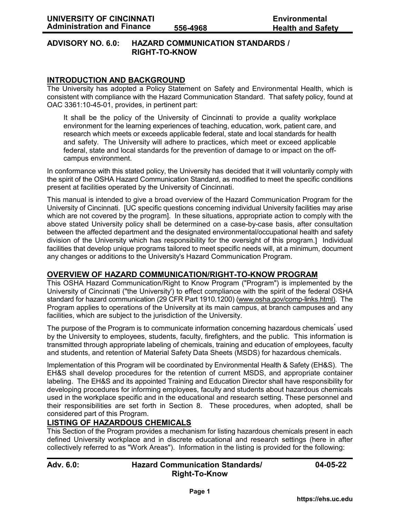### **ADVISORY NO. 6.0: HAZARD COMMUNICATION STANDARDS / RIGHT-TO-KNOW**

## **INTRODUCTION AND BACKGROUND**

The University has adopted a Policy Statement on Safety and Environmental Health, which is consistent with compliance with the Hazard Communication Standard. That safety policy, found at OAC 3361:10-45-01, provides, in pertinent part:

It shall be the policy of the University of Cincinnati to provide a quality workplace environment for the learning experiences of teaching, education, work, patient care, and research which meets or exceeds applicable federal, state and local standards for health and safety. The University will adhere to practices, which meet or exceed applicable federal, state and local standards for the prevention of damage to or impact on the offcampus environment.

In conformance with this stated policy, the University has decided that it will voluntarily comply with the spirit of the OSHA Hazard Communication Standard, as modified to meet the specific conditions present at facilities operated by the University of Cincinnati.

This manual is intended to give a broad overview of the Hazard Communication Program for the University of Cincinnati. [UC specific questions concerning individual University facilities may arise which are not covered by the program]. In these situations, appropriate action to comply with the above stated University policy shall be determined on a case-by-case basis, after consultation between the affected department and the designated environmental/occupational health and safety division of the University which has responsibility for the oversight of this program.] Individual facilities that develop unique programs tailored to meet specific needs will, at a minimum, document any changes or additions to the University's Hazard Communication Program.

## **OVERVIEW OF HAZARD COMMUNICATION/RIGHT-TO-KNOW PROGRAM**

This OSHA Hazard Communication/Right to Know Program ("Program") is implemented by the University of Cincinnati ("the University') to effect compliance with the spirit of the federal OSHA standard for hazard communication (29 CFR Part 1910.1200) [\(www.osha.gov/comp-links.html\).](www.osha.gov/comp-links.html) The Program applies to operations of the University at its main campus, at branch campuses and any facilities, which are subject to the jurisdiction of the University.

The purpose of the Program is to communicate information concerning hazardous chemicals<sup>\*</sup> used by the University to employees, students, faculty, firefighters, and the public. This information is transmitted through appropriate labeling of chemicals, training and education of employees, faculty and students, and retention of Material Safety Data Sheets (MSDS) for hazardous chemicals.

Implementation of this Program will be coordinated by Environmental Health & Safety (EH&S). The EH&S shall develop procedures for the retention of current MSDS, and appropriate container labeling. The EH&S and its appointed Training and Education Director shall have responsibility for developing procedures for informing employees, faculty and students about hazardous chemicals used in the workplace specific and in the educational and research setting. These personnel and their responsibilities are set forth in Section 8. These procedures, when adopted, shall be considered part of this Program.

## **LISTING OF HAZARDOUS CHEMICALS**

This Section of the Program provides a mechanism for listing hazardous chemicals present in each defined University workplace and in discrete educational and research settings (here in after collectively referred to as "Work Areas"). Information in the listing is provided for the following:

| Adv. 6.0: | <b>Hazard Communication Standards/</b> | 04-05-22 |
|-----------|----------------------------------------|----------|
|           | <b>Right-To-Know</b>                   |          |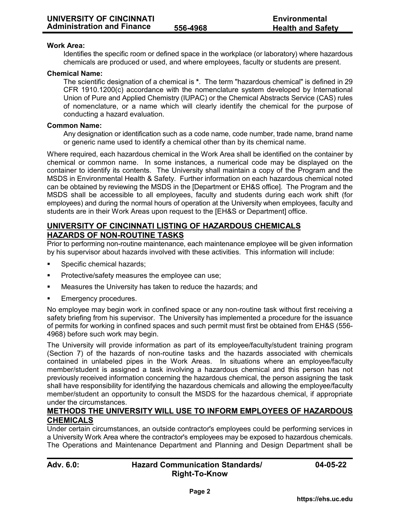#### **Work Area:**

Identifies the specific room or defined space in the workplace (or laboratory) where hazardous chemicals are produced or used, and where employees, faculty or students are present.

#### **Chemical Name:**

The scientific designation of a chemical is **\***. The term "hazardous chemical" is defined in 29 CFR 1910.1200(c) accordance with the nomenclature system developed by International Union of Pure and Applied Chemistry (IUPAC) or the Chemical Abstracts Service (CAS) rules of nomenclature, or a name which will clearly identify the chemical for the purpose of conducting a hazard evaluation.

#### **Common Name:**

Any designation or identification such as a code name, code number, trade name, brand name or generic name used to identify a chemical other than by its chemical name.

Where required, each hazardous chemical in the Work Area shall be identified on the container by chemical or common name. In some instances, a numerical code may be displayed on the container to identify its contents. The University shall maintain a copy of the Program and the MSDS in Environmental Health & Safety. Further information on each hazardous chemical noted can be obtained by reviewing the MSDS in the [Department or EH&S office]. The Program and the MSDS shall be accessible to all employees, faculty and students during each work shift (for employees) and during the normal hours of operation at the University when employees, faculty and students are in their Work Areas upon request to the [EH&S or Department] office.

## **UNIVERSITY OF CINCINNATI LISTING OF HAZARDOUS CHEMICALS HAZARDS OF NON-ROUTINE TASKS**

Prior to performing non-routine maintenance, each maintenance employee will be given information by his supervisor about hazards involved with these activities. This information will include:

- Specific chemical hazards;
- **Protective/safety measures the employee can use;**
- Measures the University has taken to reduce the hazards; and
- Emergency procedures.

No employee may begin work in confined space or any non-routine task without first receiving a safety briefing from his supervisor. The University has implemented a procedure for the issuance of permits for working in confined spaces and such permit must first be obtained from EH&S (556- 4968) before such work may begin.

The University will provide information as part of its employee/faculty/student training program (Section 7) of the hazards of non-routine tasks and the hazards associated with chemicals contained in unlabeled pipes in the Work Areas. In situations where an employee/faculty member/student is assigned a task involving a hazardous chemical and this person has not previously received information concerning the hazardous chemical, the person assigning the task shall have responsibility for identifying the hazardous chemicals and allowing the employee/faculty member/student an opportunity to consult the MSDS for the hazardous chemical, if appropriate under the circumstances.

### **METHODS THE UNIVERSITY WILL USE TO INFORM EMPLOYEES OF HAZARDOUS CHEMICALS**

Under certain circumstances, an outside contractor's employees could be performing services in a University Work Area where the contractor's employees may be exposed to hazardous chemicals. The Operations and Maintenance Department and Planning and Design Department shall be

| Adv. 6.0: | <b>Hazard C</b> |
|-----------|-----------------|
|           |                 |

### **Adv. 6.0: Hazard Communication Standards/ 04-05-22 Right-To-Know**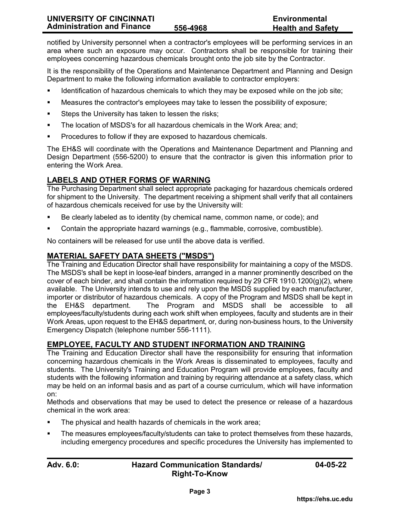notified by University personnel when a contractor's employees will be performing services in an area where such an exposure may occur. Contractors shall be responsible for training their employees concerning hazardous chemicals brought onto the job site by the Contractor.

It is the responsibility of the Operations and Maintenance Department and Planning and Design Department to make the following information available to contractor employers:

- Identification of hazardous chemicals to which they may be exposed while on the job site;
- Measures the contractor's employees may take to lessen the possibility of exposure;
- **Steps the University has taken to lessen the risks;**
- The location of MSDS's for all hazardous chemicals in the Work Area; and;
- Procedures to follow if they are exposed to hazardous chemicals.

The EH&S will coordinate with the Operations and Maintenance Department and Planning and Design Department (556-5200) to ensure that the contractor is given this information prior to entering the Work Area.

# **LABELS AND OTHER FORMS OF WARNING**

The Purchasing Department shall select appropriate packaging for hazardous chemicals ordered for shipment to the University. The department receiving a shipment shall verify that all containers of hazardous chemicals received for use by the University will:

- Be clearly labeled as to identity (by chemical name, common name, or code); and
- Contain the appropriate hazard warnings (e.g., flammable, corrosive, combustible).

No containers will be released for use until the above data is verified.

## **MATERIAL SAFETY DATA SHEETS ("MSDS")**

The Training and Education Director shall have responsibility for maintaining a copy of the MSDS. The MSDS's shall be kept in loose-leaf binders, arranged in a manner prominently described on the cover of each binder, and shall contain the information required by 29 CFR 1910.1200(g)(2), where available. The University intends to use and rely upon the MSDS supplied by each manufacturer, importer or distributor of hazardous chemicals. A copy of the Program and MSDS shall be kept in the EH&S department. The Program and MSDS shall be accessible to all employees/faculty/students during each work shift when employees, faculty and students are in their Work Areas, upon request to the EH&S department, or, during non-business hours, to the University Emergency Dispatch (telephone number 556-1111).

# **EMPLOYEE, FACULTY AND STUDENT INFORMATION AND TRAINING**

The Training and Education Director shall have the responsibility for ensuring that information concerning hazardous chemicals in the Work Areas is disseminated to employees, faculty and students. The University's Training and Education Program will provide employees, faculty and students with the following information and training by requiring attendance at a safety class, which may be held on an informal basis and as part of a course curriculum, which will have information on:

Methods and observations that may be used to detect the presence or release of a hazardous chemical in the work area:

- The physical and health hazards of chemicals in the work area;
- The measures employees/faculty/students can take to protect themselves from these hazards, including emergency procedures and specific procedures the University has implemented to

## **Adv. 6.0: Hazard Communication Standards/ 04-05-22 Right-To-Know**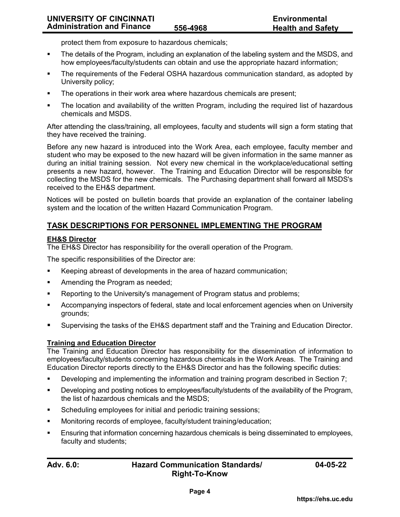protect them from exposure to hazardous chemicals;

- The details of the Program, including an explanation of the labeling system and the MSDS, and how employees/faculty/students can obtain and use the appropriate hazard information;
- The requirements of the Federal OSHA hazardous communication standard, as adopted by University policy;
- The operations in their work area where hazardous chemicals are present;
- The location and availability of the written Program, including the required list of hazardous chemicals and MSDS.

After attending the class/training, all employees, faculty and students will sign a form stating that they have received the training.

Before any new hazard is introduced into the Work Area, each employee, faculty member and student who may be exposed to the new hazard will be given information in the same manner as during an initial training session. Not every new chemical in the workplace/educational setting presents a new hazard, however. The Training and Education Director will be responsible for collecting the MSDS for the new chemicals. The Purchasing department shall forward all MSDS's received to the EH&S department.

Notices will be posted on bulletin boards that provide an explanation of the container labeling system and the location of the written Hazard Communication Program.

## **TASK DESCRIPTIONS FOR PERSONNEL IMPLEMENTING THE PROGRAM**

### **EH&S Director**

The EH&S Director has responsibility for the overall operation of the Program.

The specific responsibilities of the Director are:

- Keeping abreast of developments in the area of hazard communication;
- **Amending the Program as needed;**
- Reporting to the University's management of Program status and problems;
- Accompanying inspectors of federal, state and local enforcement agencies when on University grounds;
- Supervising the tasks of the EH&S department staff and the Training and Education Director.

### **Training and Education Director**

The Training and Education Director has responsibility for the dissemination of information to employees/faculty/students concerning hazardous chemicals in the Work Areas. The Training and Education Director reports directly to the EH&S Director and has the following specific duties:

- Developing and implementing the information and training program described in Section 7;
- Developing and posting notices to employees/faculty/students of the availability of the Program, the list of hazardous chemicals and the MSDS;
- **Scheduling employees for initial and periodic training sessions;**
- Monitoring records of employee, faculty/student training/education;
- Ensuring that information concerning hazardous chemicals is being disseminated to employees, faculty and students;

### **Adv. 6.0: Hazard Communication Standards/ 04-05-22 Right-To-Know**